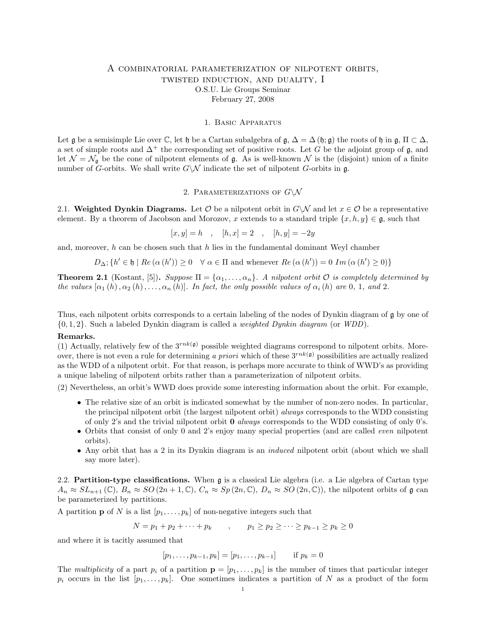# A combinatorial parameterization of nilpotent orbits, twisted induction, and duality, I O.S.U. Lie Groups Seminar February 27, 2008

#### 1. Basic Apparatus

Let g be a semisimple Lie over C, let h be a Cartan subalgebra of g,  $\Delta = \Delta(\mathfrak{h}; \mathfrak{g})$  the roots of h in g,  $\Pi \subset \Delta$ , a set of simple roots and  $\Delta^+$  the corresponding set of positive roots. Let G be the adjoint group of g, and let  $\mathcal{N} = \mathcal{N}_{\mathfrak{q}}$  be the cone of nilpotent elements of g. As is well-known  $\mathcal{N}$  is the (disjoint) union of a finite number of G-orbits. We shall write  $G\setminus\mathcal{N}$  indicate the set of nilpotent G-orbits in g.

### 2. PARAMETERIZATIONS OF  $G\backslash \mathcal{N}$

2.1. Weighted Dynkin Diagrams. Let  $\mathcal O$  be a nilpotent orbit in  $G\setminus\mathcal N$  and let  $x\in\mathcal O$  be a representative element. By a theorem of Jacobson and Morozov, x extends to a standard triple  $\{x, h, y\} \in \mathfrak{g}$ , such that

 $[x, y] = h$ ,  $[h, x] = 2$ ,  $[h, y] = -2y$ 

and, moreover,  $h$  can be chosen such that  $h$  lies in the fundamental dominant Weyl chamber

$$
D_{\Delta}; \{h' \in \mathfrak{h} \mid \text{Re}(\alpha(h')) \ge 0 \quad \forall \alpha \in \Pi \text{ and whenever } \text{Re}(\alpha(h')) = 0 \text{ Im}(\alpha(h') \ge 0)\}
$$

**Theorem 2.1** (Kostant, [5]). Suppose  $\Pi = {\alpha_1, \ldots, \alpha_n}$ . A nilpotent orbit  $\mathcal O$  is completely determined by the values  $[\alpha_1(h), \alpha_2(h), \ldots, \alpha_n(h)]$ . In fact, the only possible values of  $\alpha_i(h)$  are 0, 1, and 2.

Thus, each nilpotent orbits corresponds to a certain labeling of the nodes of Dynkin diagram of g by one of  $\{0, 1, 2\}$ . Such a labeled Dynkin diagram is called a *weighted Dynkin diagram* (or *WDD*).

#### Remarks.

(1) Actually, relatively few of the  $3^{rk(\mathfrak{g})}$  possible weighted diagrams correspond to nilpotent orbits. Moreover, there is not even a rule for determining a priori which of these  $3^{rk(\mathfrak{g})}$  possibilities are actually realized as the WDD of a nilpotent orbit. For that reason, is perhaps more accurate to think of WWD's as providing a unique labeling of nilpotent orbits rather than a parameterization of nilpotent orbits.

(2) Nevertheless, an orbit's WWD does provide some interesting information about the orbit. For example,

- The relative size of an orbit is indicated somewhat by the number of non-zero nodes. In particular, the principal nilpotent orbit (the largest nilpotent orbit) always corresponds to the WDD consisting of only 2's and the trivial nilpotent orbit 0 always corresponds to the WDD consisting of only 0's.
- Orbits that consist of only 0 and 2's enjoy many special properties (and are called *even* nilpotent orbits).
- Any orbit that has a 2 in its Dynkin diagram is an *induced* nilpotent orbit (about which we shall say more later).

2.2. Partition-type classifications. When g is a classical Lie algebra (i.e. a Lie algebra of Cartan type  $A_n \approx SL_{n+1}(\mathbb{C}), B_n \approx SO(2n+1, \mathbb{C}), C_n \approx Sp(2n, \mathbb{C}), D_n \approx SO(2n, \mathbb{C}),$  the nilpotent orbits of g can be parameterized by partitions.

A partition **p** of N is a list  $[p_1, \ldots, p_k]$  of non-negative integers such that

$$
N = p_1 + p_2 + \dots + p_k \qquad , \qquad p_1 \ge p_2 \ge \dots \ge p_{k-1} \ge p_k \ge 0
$$

and where it is tacitly assumed that

$$
[p_1, \ldots, p_{k-1}, p_k] = [p_1, \ldots, p_{k-1}]
$$
 if  $p_k = 0$ 

The multiplicity of a part  $p_i$  of a partition  $\mathbf{p} = [p_1, \ldots, p_k]$  is the number of times that particular integer  $p_i$  occurs in the list  $[p_1, \ldots, p_k]$ . One sometimes indicates a partition of N as a product of the form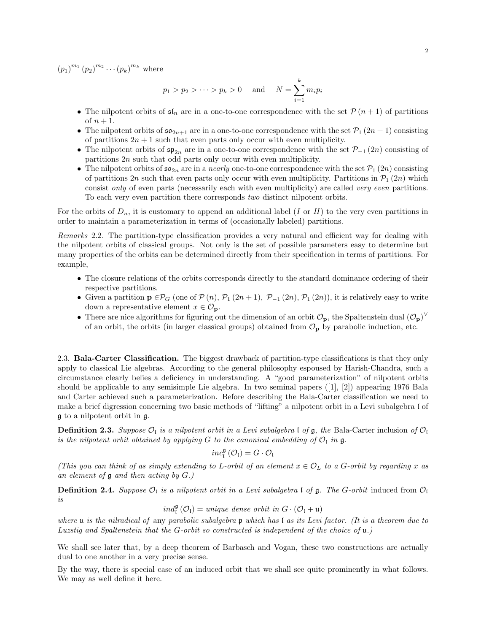$(p_1)^{m_1} (p_2)^{m_2} \cdots (p_k)^{m_k}$  where

$$
p_1 > p_2 > \cdots > p_k > 0
$$
 and  $N = \sum_{i=1}^k m_i p_i$ 

- The nilpotent orbits of  $\mathfrak{sl}_n$  are in a one-to-one correspondence with the set  $\mathcal{P}(n+1)$  of partitions of  $n+1$ .
- The nilpotent orbits of  $\mathfrak{so}_{2n+1}$  are in a one-to-one correspondence with the set  $\mathcal{P}_1(2n+1)$  consisting of partitions  $2n + 1$  such that even parts only occur with even multiplicity.
- The nilpotent orbits of  $\mathfrak{sp}_{2n}$  are in a one-to-one correspondence with the set  $\mathcal{P}_{-1}(2n)$  consisting of partitions 2n such that odd parts only occur with even multiplicity.
- The nilpotent orbits of  $\mathfrak{so}_{2n}$  are in a *nearly* one-to-one correspondence with the set  $\mathcal{P}_1(2n)$  consisting of partitions 2n such that even parts only occur with even multiplicity. Partitions in  $\mathcal{P}_1(2n)$  which consist only of even parts (necessarily each with even multiplicity) are called very even partitions. To each very even partition there corresponds two distinct nilpotent orbits.

For the orbits of  $D_n$ , it is customary to append an additional label (I or II) to the very even partitions in order to maintain a parameterization in terms of (occasionally labeled) partitions.

Remarks 2.2. The partition-type classification provides a very natural and efficient way for dealing with the nilpotent orbits of classical groups. Not only is the set of possible parameters easy to determine but many properties of the orbits can be determined directly from their specification in terms of partitions. For example,

- The closure relations of the orbits corresponds directly to the standard dominance ordering of their respective partitions.
- Given a partition  $p \in \mathcal{P}_G$  (one of  $\mathcal{P}(n)$ ,  $\mathcal{P}_1(2n+1)$ ,  $\mathcal{P}_{-1}(2n)$ ,  $\mathcal{P}_1(2n)$ ), it is relatively easy to write down a representative element  $x \in \mathcal{O}_{\mathbf{p}}$ .
- There are nice algorithms for figuring out the dimension of an orbit  $\mathcal{O}_p$ , the Spaltenstein dual  $(\mathcal{O}_p)^{\vee}$ of an orbit, the orbits (in larger classical groups) obtained from  $\mathcal{O}_{\mathbf{p}}$  by parabolic induction, etc.

2.3. Bala-Carter Classification. The biggest drawback of partition-type classifications is that they only apply to classical Lie algebras. According to the general philosophy espoused by Harish-Chandra, such a circumstance clearly belies a deficiency in understanding. A "good parameterization" of nilpotent orbits should be applicable to any semisimple Lie algebra. In two seminal papers ([1], [2]) appearing 1976 Bala and Carter achieved such a parameterization. Before describing the Bala-Carter classification we need to make a brief digression concerning two basic methods of "lifting" a nilpotent orbit in a Levi subalgebra l of g to a nilpotent orbit in g.

**Definition 2.3.** Suppose  $\mathcal{O}_1$  is a nilpotent orbit in a Levi subalgebra l of g, the Bala-Carter inclusion of  $\mathcal{O}_1$ is the nilpotent orbit obtained by applying G to the canonical embedding of  $\mathcal{O}_I$  in  $\mathfrak{g}$ .

$$
\mathit{inc}^{\mathfrak{g}}_{\mathfrak{l}}\left(\mathcal{O}_{\mathfrak{l}}\right)=G\cdot\mathcal{O}_{\mathfrak{l}}
$$

(This you can think of as simply extending to L-orbit of an element  $x \in \mathcal{O}_L$  to a G-orbit by regarding x as an element of  $\mathfrak g$  and then acting by  $G$ .)

**Definition 2.4.** Suppose  $\mathcal{O}_I$  is a nilpotent orbit in a Levi subalgebra  $\mathfrak l$  of  $\mathfrak g$ . The G-orbit induced from  $\mathcal{O}_I$ is

 $ind_{\mathfrak{l}}^{\mathfrak{g}}(\mathcal{O}_{\mathfrak{l}})=$  unique dense orbit in  $G \cdot (\mathcal{O}_{\mathfrak{l}} + \mathfrak{u})$ 

where  $\mu$  is the nilradical of any parabolic subalgebra  $\mathfrak p$  which has l as its Levi factor. (It is a theorem due to Luzstig and Spaltenstein that the G-orbit so constructed is independent of the choice of u.)

We shall see later that, by a deep theorem of Barbasch and Vogan, these two constructions are actually dual to one another in a very precise sense.

By the way, there is special case of an induced orbit that we shall see quite prominently in what follows. We may as well define it here.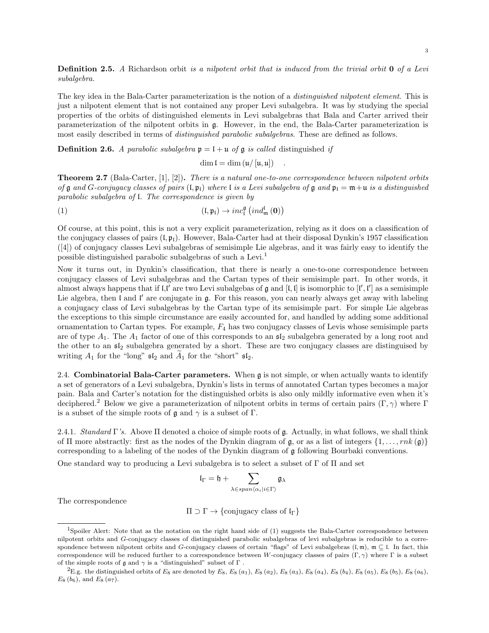**Definition 2.5.** A Richardson orbit is a nilpotent orbit that is induced from the trivial orbit 0 of a Levi subalgebra.

The key idea in the Bala-Carter parameterization is the notion of a *distinguished nilpotent element*. This is just a nilpotent element that is not contained any proper Levi subalgebra. It was by studying the special properties of the orbits of distinguished elements in Levi subalgebras that Bala and Carter arrived their parameterization of the nilpotent orbits in g. However, in the end, the Bala-Carter parameterization is most easily described in terms of *distinguished parabolic subalgebras*. These are defined as follows.

**Definition 2.6.** A parabolic subalgebra  $\mathfrak{p} = \mathfrak{l} + \mathfrak{u}$  of  $\mathfrak{g}$  is called distinguished if

dim  $\mathfrak{l} = \dim (\mathfrak{u}/[\mathfrak{u}, \mathfrak{u}])$ .

**Theorem 2.7** (Bala-Carter,  $[1], [2]$ ). There is a natural one-to-one correspondence between nilpotent orbits of g and G-conjugacy classes of pairs  $(I, \mathfrak{p}_I)$  where I is a Levi subalgebra of g and  $\mathfrak{p}_I = \mathfrak{m} + \mathfrak{u}$  is a distinguished parabolic subalgebra of l. The correspondence is given by

(1) 
$$
(\mathfrak{l}, \mathfrak{p}_{\mathfrak{l}}) \to inc_{\mathfrak{l}}^{\mathfrak{g}}(ind_{\mathfrak{m}}^{\mathfrak{l}}(\mathbf{0}))
$$

Of course, at this point, this is not a very explicit parameterization, relying as it does on a classification of the conjugacy classes of pairs  $(1, \mathfrak{p}_1)$ . However, Bala-Carter had at their disposal Dynkin's 1957 classification ([4]) of conjugacy classes Levi subalgebras of semisimple Lie algebras, and it was fairly easy to identify the possible distinguished parabolic subalgebras of such a Levi.<sup>1</sup>

Now it turns out, in Dynkin's classification, that there is nearly a one-to-one correspondence between conjugacy classes of Levi subalgebras and the Cartan types of their semisimple part. In other words, it almost always happens that if  $\mathfrak{l}, \mathfrak{l}'$  are two Levi subalgebas of  $\mathfrak{g}$  and  $[\mathfrak{l}, \mathfrak{l}]$  is isomorphic to  $[\mathfrak{l}', \mathfrak{l}']$  as a semisimple Lie algebra, then  $\mathfrak l$  and  $\mathfrak l'$  are conjugate in  $\mathfrak g$ . For this reason, you can nearly always get away with labeling a conjugacy class of Levi subalgebras by the Cartan type of its semisimple part. For simple Lie algebras the exceptions to this simple circumstance are easily accounted for, and handled by adding some additional ornamentation to Cartan types. For example,  $F_4$  has two conjugacy classes of Levis whose semisimple parts are of type  $A_1$ . The  $A_1$  factor of one of this corresponds to an  $\mathfrak{sl}_2$  subalgebra generated by a long root and the other to an sl<sup>2</sup> subalgebra generated by a short. These are two conjugacy classes are distinguised by writing  $A_1$  for the "long"  $\mathfrak{sl}_2$  and  $\tilde{A}_1$  for the "short"  $\mathfrak{sl}_2$ .

2.4. Combinatorial Bala-Carter parameters. When g is not simple, or when actually wants to identify a set of generators of a Levi subalgebra, Dynkin's lists in terms of annotated Cartan types becomes a major pain. Bala and Carter's notation for the distinguished orbits is also only mildly informative even when it's deciphered.<sup>2</sup> Below we give a parameterization of nilpotent orbits in terms of certain pairs (Γ, γ) where Γ is a subset of the simple roots of  $\mathfrak g$  and  $\gamma$  is a subset of  $\Gamma$ .

2.4.1. *Standard* Γ's. Above Π denoted a choice of simple roots of  $\mathfrak{g}$ . Actually, in what follows, we shall think of Π more abstractly: first as the nodes of the Dynkin diagram of  $\mathfrak{g}$ , or as a list of integers  $\{1, \ldots, rnk(\mathfrak{g})\}$ corresponding to a labeling of the nodes of the Dynkin diagram of g following Bourbaki conventions.

One standard way to producing a Levi subalgebra is to select a subset of  $\Gamma$  of  $\Pi$  and set

$$
\mathfrak{l}_\Gamma=\mathfrak{h}+\sum_{\lambda\in span\langle\alpha_i|i\in\Gamma\rangle}\mathfrak{g}_\lambda
$$

The correspondence

$$
\Pi \supset \Gamma \to \{\text{conjugacy class of } \mathfrak{l}_\Gamma\}
$$

<sup>1</sup>Spoiler Alert: Note that as the notation on the right hand side of (1) suggests the Bala-Carter correspondence between nilpotent orbits and G-conjugacy classes of distinguished parabolic subalgebras of levi subalgebras is reducible to a correspondence between nilpotent orbits and G-conjugacy classes of certain "flags" of Levi subalgebras  $(\mathfrak{l}, \mathfrak{m})$ ,  $\mathfrak{m} \subset \mathfrak{l}$ . In fact, this correspondence will be reduced further to a correspondence between W-conjugacy classes of pairs  $(\Gamma, \gamma)$  where  $\Gamma$  is a subset of the simple roots of  $\frak g$  and  $\gamma$  is a "distinguished" subset of  $\Gamma$  .

<sup>&</sup>lt;sup>2</sup>E.g. the distinguished orbits of E<sub>8</sub> are denoted by E<sub>8</sub>, E<sub>8</sub> (a<sub>1</sub>), E<sub>8</sub> (a<sub>2</sub>), E<sub>8</sub> (a<sub>3</sub>), E<sub>8</sub> (a<sub>4</sub>), E<sub>8</sub> (a<sub>4</sub>), E<sub>8</sub> (a<sub>5</sub>), E<sub>8</sub> (a<sub>6</sub>),  $E_8(b_6)$ , and  $E_8(a_7)$ .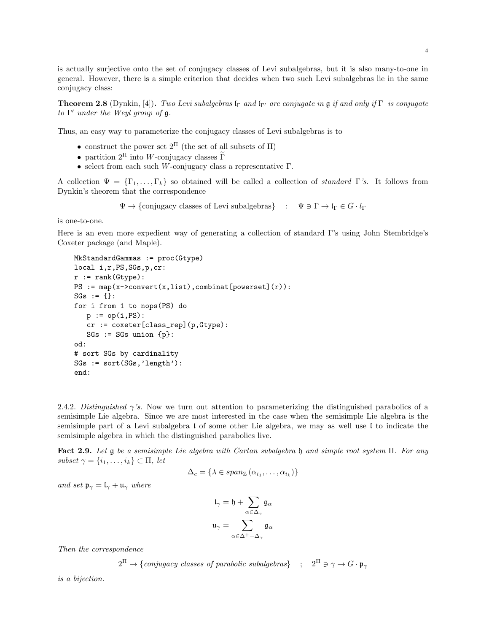is actually surjective onto the set of conjugacy classes of Levi subalgebras, but it is also many-to-one in general. However, there is a simple criterion that decides when two such Levi subalgebras lie in the same conjugacy class:

**Theorem 2.8** (Dynkin, [4]). Two Levi subalgebras  $\mathfrak{lr}_\Gamma$  and  $\mathfrak{lr}_\Gamma$  are conjugate in  $\mathfrak{g}$  if and only if  $\Gamma$  is conjugate to  $\Gamma'$  under the Weyl group of  $\mathfrak g$ .

Thus, an easy way to parameterize the conjugacy classes of Levi subalgebras is to

- $\bullet\,$  construct the power set  $2^\Pi$  (the set of all subsets of  $\Pi)$
- partition  $2^{\Pi}$  into W-conjugacy classes  $\widetilde{\Gamma}$
- select from each such W-conjugacy class a representative  $\Gamma$ .

A collection  $\Psi = {\Gamma_1, \ldots, \Gamma_k}$  so obtained will be called a collection of standard Γ's. It follows from Dynkin's theorem that the correspondence

 $\Psi \to \{\text{conjugacy classes of Levi subalgebras}\}$  :  $\Psi \ni \Gamma \to \mathfrak{l}_{\Gamma} \in G \cdot l_{\Gamma}$ 

is one-to-one.

Here is an even more expedient way of generating a collection of standard Γ's using John Stembridge's Coxeter package (and Maple).

```
MkStandardGammas := proc(Gtype)
local i,r,PS,SGs,p,cr:
r := rank(Gtype):
PS := map(x->convert(x,list),combine[powerset](r)):
SGs := \{\}:
for i from 1 to nops(PS) do
   p := op(i, PS):cr := coxeter[class_rep](p,Gtype):
   SGs := SGs union {p}:
od:
# sort SGs by cardinality
SGs := sort(SGs,'length'):
end:
```
2.4.2. Distinguished  $\gamma$ 's. Now we turn out attention to parameterizing the distinguished parabolics of a semisimple Lie algebra. Since we are most interested in the case when the semisimple Lie algebra is the semisimple part of a Levi subalgebra l of some other Lie algebra, we may as well use l to indicate the semisimple algebra in which the distinguished parabolics live.

Fact 2.9. Let g be a semisimple Lie algebra with Cartan subalgebra h and simple root system Π. For any subset  $\gamma = \{i_1, \ldots, i_k\} \subset \Pi$ , let

$$
\Delta_c = \{ \lambda \in span_{\mathbb{Z}} \left( \alpha_{i_1}, \dots, \alpha_{i_k} \right) \}
$$

and set  $\mathfrak{p}_{\gamma} = \mathfrak{l}_{\gamma} + \mathfrak{u}_{\gamma}$  where

$$
\begin{aligned} \mathfrak{l}_{\gamma} &= \mathfrak{h} + \sum_{\alpha \in \Delta_{\gamma}} \mathfrak{g}_{\alpha} \\ \mathfrak{u}_{\gamma} &= \sum_{\alpha \in \Delta^{+} - \Delta_{\gamma}} \mathfrak{g}_{\alpha} \end{aligned}
$$

Then the correspondence

 $2^{\Pi} \to \{conjugacy \ classes \ of \ parabolic \ subalgebras \} \quad ; \quad 2^{\Pi} \ni \gamma \to G \cdot \mathfrak{p}_{\gamma}$ 

is a bijection.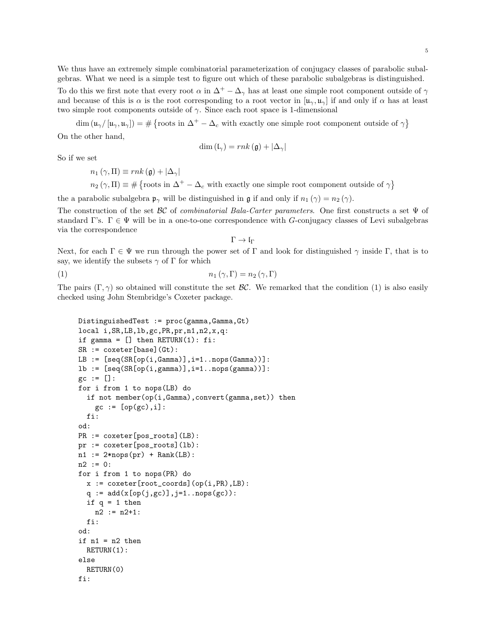We thus have an extremely simple combinatorial parameterization of conjugacy classes of parabolic subalgebras. What we need is a simple test to figure out which of these parabolic subalgebras is distinguished.

To do this we first note that every root  $\alpha$  in  $\Delta^+ - \Delta_\gamma$  has at least one simple root component outside of  $\gamma$ and because of this is  $\alpha$  is the root corresponding to a root vector in  $[\mu_\gamma, \mu_\gamma]$  if and only if  $\alpha$  has at least two simple root components outside of  $\gamma$ . Since each root space is 1-dimensional

 $\dim (\mathfrak{u}_{\gamma}/[\mathfrak{u}_{\gamma}, \mathfrak{u}_{\gamma}]) = \#\{\text{roots in } \Delta^+ - \Delta_c \text{ with exactly one simple root component outside of } \gamma\}$ On the other hand,

$$
\dim\left(\mathfrak{l}_{\gamma}\right)=rnk\left(\mathfrak{g}\right)+\left|\Delta_{\gamma}\right|
$$

So if we set

$$
n_1(\gamma, \Pi) \equiv r n k \left( \mathfrak{g} \right) + |\Delta_\gamma|
$$

 $n_2(\gamma, \Pi) \equiv \# \{\text{roots in } \Delta^+ - \Delta_c \text{ with exactly one simple root component outside of } \gamma \}$ 

the a parabolic subalgebra  $\mathfrak{p}_{\gamma}$  will be distinguished in g if and only if  $n_1(\gamma) = n_2(\gamma)$ .

The construction of the set  $\mathcal{BC}$  of *combinatorial Bala-Carter parameters*. One first constructs a set  $\Psi$  of standard Γ's.  $\Gamma \in \Psi$  will be in a one-to-one correspondence with G-conjugacy classes of Levi subalgebras via the correspondence

 $\Gamma \to \mathfrak{l}_\Gamma$ 

Next, for each  $\Gamma \in \Psi$  we run through the power set of  $\Gamma$  and look for distinguished  $\gamma$  inside  $\Gamma$ , that is to say, we identify the subsets  $\gamma$  of  $\Gamma$  for which

(1)  $n_1 (\gamma, \Gamma) = n_2 (\gamma, \Gamma)$ 

The pairs  $(\Gamma, \gamma)$  so obtained will constitute the set  $\beta\mathcal{C}$ . We remarked that the condition (1) is also easily checked using John Stembridge's Coxeter package.

```
DistinguishedTest := proc(gamma, Gamma, Gt)
local i,SR,LB,lb,gc,PR,pr,n1,n2,x,q:
if gamma = [] then RETURN(1): fi:
SR := coxeter[base](Gt):
LB := [seq(SR[op(i,Gamma)], i=1..nops(Gamma))]:
lb := [seq(SR[op(i,gamma)], i=1..nops(gamma))]:
gc := []:
for i from 1 to nops(LB) do
  if not member(op(i,Gamma),convert(gamma,set)) then
    gc := [op(gc), i]:
 fi:
od:
PR := coxeter[pos_roots](LB):
pr := coxeter[pos_roots](lb):
n1 := 2 * nops(pr) + Rank(LB):
n2 := 0:
for i from 1 to nops(PR) do
 x := \text{coster}[\text{root}]\text{ (op}(i, PR), LB):q := add(x[op(j,gc)], j=1..nops(gc)):
  if q = 1 then
    n2 := n2+1:
 fi:
od:
if n1 = n2 then
 RETURN(1):
else
  RETURN(0)
fi:
```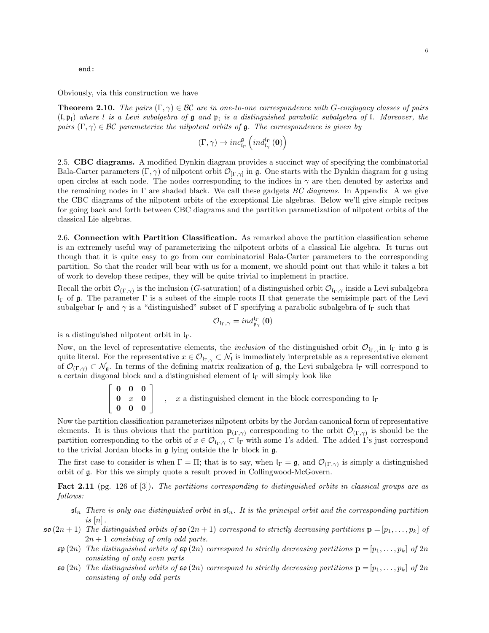end:

Obviously, via this construction we have

**Theorem 2.10.** The pairs  $(\Gamma, \gamma) \in \mathcal{BC}$  are in one-to-one correspondence with G-conjugacy classes of pairs  $(l, \mathfrak{p}_l)$  where l is a Levi subalgebra of g and  $\mathfrak{p}_l$  is a distinguished parabolic subalgebra of l. Moreover, the pairs  $(\Gamma, \gamma) \in \mathcal{BC}$  parameterize the nilpotent orbits of g. The correspondence is given by

$$
\left(\Gamma,\gamma\right)\rightarrow inc_{\mathfrak{l}_{\Gamma}}^{\mathfrak{g}}\left( ind_{\mathfrak{l}_{\gamma}}^{\mathfrak{l}_{\Gamma}}\left( \mathbf{0}\right) \right)
$$

2.5. CBC diagrams. A modified Dynkin diagram provides a succinct way of specifying the combinatorial Bala-Carter parameters  $(\Gamma, \gamma)$  of nilpotent orbit  $\mathcal{O}_{[\Gamma,\gamma]}$  in g. One starts with the Dynkin diagram for g using open circles at each node. The nodes corresponding to the indices in  $\gamma$  are then denoted by asterixs and the remaining nodes in  $\Gamma$  are shaded black. We call these gadgets BC diagrams. In Appendix A we give the CBC diagrams of the nilpotent orbits of the exceptional Lie algebras. Below we'll give simple recipes for going back and forth between CBC diagrams and the partition parametization of nilpotent orbits of the classical Lie algebras.

2.6. Connection with Partition Classification. As remarked above the partition classification scheme is an extremely useful way of parameterizing the nilpotent orbits of a classical Lie algebra. It turns out though that it is quite easy to go from our combinatorial Bala-Carter parameters to the corresponding partition. So that the reader will bear with us for a moment, we should point out that while it takes a bit of work to develop these recipes, they will be quite trivial to implement in practice.

Recall the orbit  $\mathcal{O}_{(\Gamma,\gamma)}$  is the inclusion (G-saturation) of a distinguished orbit  $\mathcal{O}_{\Gamma,\gamma}$  inside a Levi subalgebra l<sup>Γ</sup> of g. The parameter Γ is a subset of the simple roots Π that generate the semisimple part of the Levi subalgebar  $I_{\Gamma}$  and  $\gamma$  is a "distinguished" subset of Γ specifying a parabolic subalgebra of  $I_{\Gamma}$  such that

$$
\mathcal{O}_{\mathfrak{l}_\Gamma,\gamma}=ind_{\mathfrak{p}_\gamma}^{\mathfrak{l}_\Gamma}\left(0\right)
$$

is a distinguished nilpotent orbit in  $I_{\Gamma}$ .

Now, on the level of representative elements, the *inclusion* of the distinguished orbit  $\mathcal{O}_{\mathfrak{l}_{\Gamma,\gamma}}$  in  $\mathfrak{l}_{\Gamma}$  into  $\mathfrak{g}$  is quite literal. For the representative  $x \in \mathcal{O}_{\mathfrak{l}_{\Gamma,\gamma}} \subset \mathcal{N}_{\mathfrak{l}}$  is immediately interpretable as a representative element of  $\mathcal{O}_{(\Gamma,\gamma)} \subset \mathcal{N}_{\mathfrak{g}}$ . In terms of the defining matrix realization of  $\mathfrak{g}$ , the Levi subalgebra  $\mathfrak{l}_{\Gamma}$  will correspond to a certain diagonal block and a distinguished element of  $I<sub>Γ</sub>$  will simply look like

> $\lceil$  $\overline{\phantom{a}}$ 0 0 0  $\mathbf{0}$  x  $\mathbf{0}$ 0 0 0 1 , x a distinguished element in the block corresponding to  $I_{\Gamma}$

Now the partition classification parameterizes nilpotent orbits by the Jordan canonical form of representative elements. It is thus obvious that the partition  $\mathbf{p}_{(\Gamma,\gamma)}$  corresponding to the orbit  $\mathcal{O}_{(\Gamma,\gamma)}$  is should be the partition corresponding to the orbit of  $x \in \mathcal{O}_{r,\gamma} \subset \mathfrak{l}_\Gamma$  with some 1's added. The added 1's just correspond to the trivial Jordan blocks in  $\mathfrak g$  lying outside the  $\mathfrak l_{\Gamma}$  block in  $\mathfrak g$ .

The first case to consider is when  $\Gamma = \Pi$ ; that is to say, when  $\mathfrak{l}_{\Gamma} = \mathfrak{g}$ , and  $\mathcal{O}_{(\Gamma,\gamma)}$  is simply a distinguished orbit of g. For this we simply quote a result proved in Collingwood-McGovern.

Fact 2.11 (pg. 126 of [3]). The partitions corresponding to distinguished orbits in classical groups are as follows:

- $\mathfrak{sl}_n$ . There is only one distinguished orbit in  $\mathfrak{sl}_n$ . It is the principal orbit and the corresponding partition is  $[n]$ .
- $\mathfrak{so}(2n+1)$  The distinguished orbits of  $\mathfrak{so}(2n+1)$  correspond to strictly decreasing partitions  $\mathbf{p} = [p_1, \ldots, p_k]$  of  $2n + 1$  consisting of only odd parts.
	- $\mathfrak{sp}(2n)$  The distinguished orbits of  $\mathfrak{sp}(2n)$  correspond to strictly decreasing partitions  $\mathbf{p} = [p_1, \ldots, p_k]$  of  $2n$ consisting of only even parts
	- $\mathfrak{so}(2n)$  The distinguished orbits of  $\mathfrak{so}(2n)$  correspond to strictly decreasing partitions  $\mathbf{p} = [p_1, \ldots, p_k]$  of  $2n$ consisting of only odd parts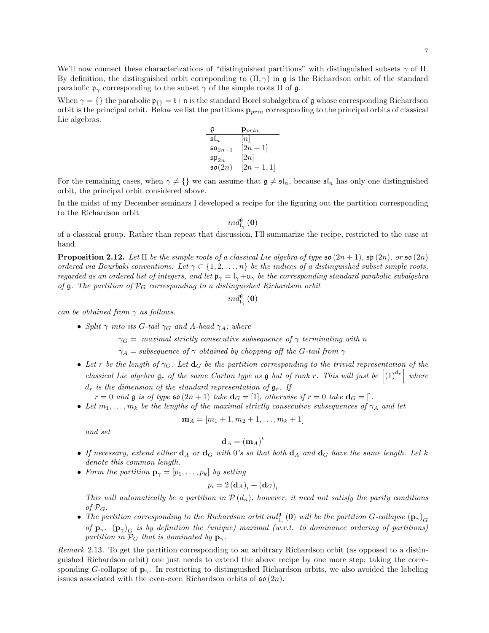We'll now connect these characterizations of "distinguished partitions" with distinguished subsets  $\gamma$  of  $\Pi$ . By definition, the distinguished orbit correponding to  $(\Pi, \gamma)$  in g is the Richardson orbit of the standard parabolic  $\mathfrak{p}_{\gamma}$  corresponding to the subset  $\gamma$  of the simple roots  $\Pi$  of  $\mathfrak{g}$ .

When  $\gamma = \{\}$  the parabolic  $\mathfrak{p}_{\{1\}} = \mathfrak{t}+\mathfrak{n}$  is the standard Borel subalgebra of g whose corresponding Richardson orbit is the principal orbit. Below we list the partitions  $\mathbf{p}_{prin}$  corresponding to the principal orbits of classical Lie algebras.

$$
\begin{array}{ll}\n\mathfrak{g} & \mathbf{p}_{prin} \\
\mathfrak{sl}_n & [n] \\
\mathfrak{so}_{2n+1} & [2n+1] \\
\mathfrak{sp}_{2n} & [2n] \\
\mathfrak{so}(2n) & [2n-1,1]\n\end{array}
$$

For the remaining cases, when  $\gamma \neq \{\}$  we can assume that  $\mathfrak{g} \neq \mathfrak{sl}_n$ , because  $\mathfrak{sl}_n$  has only one distinguished orbit, the principal orbit considered above.

In the midst of my December seminars I developed a recipe for the figuring out the partition corresponding to the Richardson orbit

$$
ind_{\mathfrak{l}_{\gamma}}^{\mathfrak{g}}\left( \mathbf{0}\right)
$$

of a classical group. Rather than repeat that discussion, I'll summarize the recipe, restricted to the case at hand.

**Proposition 2.12.** Let  $\Pi$  be the simple roots of a classical Lie algebra of type  $\mathfrak{so}(2n+1)$ ,  $\mathfrak{sp}(2n)$ , or  $\mathfrak{so}(2n)$ ordered via Bourbaki conventions. Let  $\gamma \subset \{1, 2, \ldots, n\}$  be the indices of a distinguished subset simple roots, regarded as an ordered list of integers, and let  $\mathfrak{p}_{\gamma} = \mathfrak{l}_{\gamma} + \mathfrak{u}_{\gamma}$  be the corresponding standard parabolic subalgebra of  $\mathfrak g$ . The partition of  $\mathcal P_G$  corresponding to a distinguished Richardson orbit

 $ind_{\mathfrak{l}_{\gamma}}^{\mathfrak{g}}\left( \mathbf{0}\right)$ 

can be obtained from  $\gamma$  as follows.

• Split  $\gamma$  into its G-tail  $\gamma_G$  and A-head  $\gamma_A$ ; where

 $\gamma_G =$  maximal strictly consecutive subsequence of  $\gamma$  terminating with n

 $\gamma_A$  = subsequence of  $\gamma$  obtained by chopping off the G-tail from  $\gamma$ 

• Let r be the length of  $\gamma_G$ . Let  $\mathbf{d}_G$  be the partition corresponding to the trivial representation of the classical Lie algebra  $\mathfrak{g}_r$  of the same Cartan type as  $\mathfrak g$  but of rank r. This will just be  $\left[(1)^{d_r}\right]$  where  $d_r$  is the dimension of the standard representation of  $\mathfrak{g}_r$ . If

 $r = 0$  and  $\mathfrak g$  is of type  $\mathfrak so(2n + 1)$  take  $\mathbf d_G = [1]$ , otherwise if  $r = 0$  take  $\mathbf d_G = []$ .

• Let  $m_1, \ldots, m_k$  be the lengths of the maximal strictly consecutive subsequences of  $\gamma_A$  and let

$$
\mathbf{m}_A = [m_1 + 1, m_2 + 1, \dots, m_k + 1]
$$

and set

$$
\mathbf{d}_A = \left(\mathbf{m}_A\right)^t
$$

- If necessary, extend either  $\mathbf{d}_A$  or  $\mathbf{d}_G$  with 0's so that both  $\mathbf{d}_A$  and  $\mathbf{d}_G$  have the same length. Let k denote this common length.
- Form the partition  $\mathbf{p}_{\gamma} = [p_1, \ldots, p_k]$  by setting

$$
p_i = 2\left(\mathbf{d}_A\right)_i + \left(\mathbf{d}_G\right)_i
$$

This will automatically be a partition in  $\mathcal{P}(d_n)$ , however, it need not satisfy the parity conditions of  $\mathcal{P}_G$ .

• The partition corresponding to the Richardson orbit ind<sub> $\mathfrak{l}_{\mathfrak{l}_{\gamma}}(\mathbf{0})$  will be the partition G-collapse  $(\mathbf{p}_{\gamma})_G$ </sub> of  $\mathbf{p}_{\gamma}$ .  $(\mathbf{p}_{\gamma})_G$  is by definition the (unique) maximal (w.r.t. to dominance ordering of partitions) partition in  $\mathcal{P}_G$  that is dominated by  $\mathbf{p}_{\gamma}$ .

Remark 2.13. To get the partition corresponding to an arbitrary Richardson orbit (as opposed to a distinguished Richardson orbit) one just needs to extend the above recipe by one more step; taking the corresponding G-collapse of  $\mathbf{p}_{\gamma}$ . In restricting to distinguished Richardson orbits, we also avoided the labeling issues associated with the even-even Richardson orbits of  $\mathfrak{so}(2n)$ .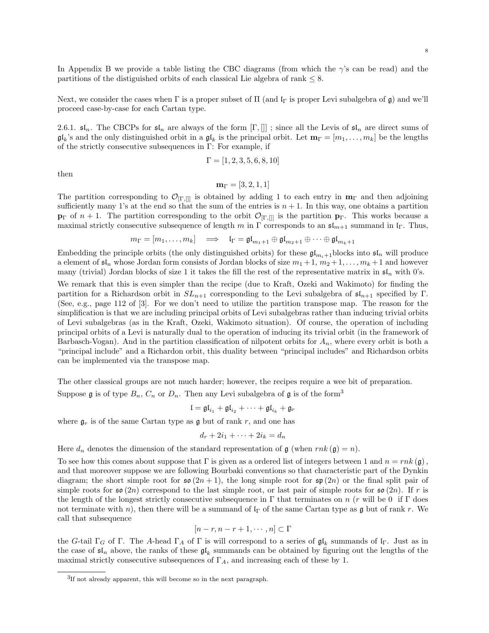In Appendix B we provide a table listing the CBC diagrams (from which the  $\gamma$ 's can be read) and the partitions of the distiguished orbits of each classical Lie algebra of rank  $\leq 8$ .

Next, we consider the cases when  $\Gamma$  is a proper subset of  $\Pi$  (and  $\mathfrak{l}_{\Gamma}$  is proper Levi subalgebra of g) and we'll proceed case-by-case for each Cartan type.

2.6.1.  $\mathfrak{sl}_n$ . The CBCPs for  $\mathfrak{sl}_n$  are always of the form  $[\Gamma,]]$ ; since all the Levis of  $\mathfrak{sl}_n$  are direct sums of  $\mathfrak{gl}_k$ 's and the only distinguished orbit in a  $\mathfrak{gl}_k$  is the principal orbit. Let  $\mathbf{m}_{\Gamma} = [m_1, \ldots, m_k]$  be the lengths of the strictly consecutive subsequences in Γ: For example, if

$$
\Gamma = [1, 2, 3, 5, 6, 8, 10]
$$

then

 $m_{\Gamma} = [3, 2, 1, 1]$ 

The partition corresponding to  $\mathcal{O}_{[\Gamma,\Pi]}$  is obtained by adding 1 to each entry in  $\mathbf{m}_{\Gamma}$  and then adjoining sufficiently many 1's at the end so that the sum of the entries is  $n + 1$ . In this way, one obtains a partition  $\mathbf{p}_{\Gamma}$  of  $n+1$ . The partition corresponding to the orbit  $\mathcal{O}_{[\Gamma,\parallel]}$  is the partition  $\mathbf{p}_{\Gamma}$ . This works because a maximal strictly consecutive subsequence of length m in  $\Gamma$  corresponds to an  $\mathfrak{sl}_{m+1}$  summand in  $\mathfrak{l}_{\Gamma}$ . Thus,

$$
m_{\Gamma} = [m_1, \ldots, m_k] \implies \mathfrak{l}_{\Gamma} = \mathfrak{gl}_{m_1+1} \oplus \mathfrak{gl}_{m_2+1} \oplus \cdots \oplus \mathfrak{gl}_{m_k+1}
$$

Embedding the principle orbits (the only distinguished orbits) for these  $\mathfrak{gl}_{m,i+1}$ blocks into  $\mathfrak{sl}_n$  will produce a element of  $\mathfrak{sl}_n$  whose Jordan form consists of Jordan blocks of size  $m_1 + 1$ ,  $m_2 + 1, \ldots, m_k + 1$  and however many (trivial) Jordan blocks of size 1 it takes the fill the rest of the representative matrix in  $\mathfrak{sl}_n$  with 0's.

We remark that this is even simpler than the recipe (due to Kraft, Ozeki and Wakimoto) for finding the partition for a Richardson orbit in  $SL_{n+1}$  corresponding to the Levi subalgebra of  $\mathfrak{sl}_{n+1}$  specified by Γ. (See, e.g., page 112 of [3]. For we don't need to utilize the partition transpose map. The reason for the simplification is that we are including principal orbits of Levi subalgebras rather than inducing trivial orbits of Levi subalgebras (as in the Kraft, Ozeki, Wakimoto situation). Of course, the operation of including principal orbits of a Levi is naturally dual to the operation of inducing its trivial orbit (in the framework of Barbasch-Vogan). And in the partition classification of nilpotent orbits for  $A_n$ , where every orbit is both a "principal include" and a Richardon orbit, this duality between "principal includes" and Richardson orbits can be implemented via the transpose map.

The other classical groups are not much harder; however, the recipes require a wee bit of preparation. Suppose g is of type  $B_n$ ,  $C_n$  or  $D_n$ . Then any Levi subalgebra of g is of the form<sup>3</sup>

$$
\mathfrak{l} = \mathfrak{gl}_{i_1} + \mathfrak{gl}_{i_2} + \cdots + \mathfrak{gl}_{i_k} + \mathfrak{g}_r
$$

where  $\mathfrak{g}_r$  is of the same Cartan type as  $\mathfrak g$  but of rank r, and one has

$$
d_r + 2i_1 + \dots + 2i_k = d_n
$$

Here  $d_n$  denotes the dimension of the standard representation of  $\mathfrak{g}$  (when rnk  $(\mathfrak{g}) = n$ ).

To see how this comes about suppose that Γ is given as a ordered list of integers between 1 and  $n = rnk(\mathfrak{g})$ , and that moreover suppose we are following Bourbaki conventions so that characteristic part of the Dynkin diagram; the short simple root for  $\mathfrak{so}(2n+1)$ , the long simple root for  $\mathfrak{sp}(2n)$  or the final split pair of simple roots for  $\mathfrak{so}(2n)$  correspond to the last simple root, or last pair of simple roots for  $\mathfrak{so}(2n)$ . If r is the length of the longest strictly consecutive subsequence in  $\Gamma$  that terminates on n (r will be 0 if  $\Gamma$  does not terminate with n), then there will be a summand of  $\Gamma_{\Gamma}$  of the same Cartan type as g but of rank r. We call that subsequence

$$
[n-r, n-r+1, \cdots, n] \subset \Gamma
$$

the G-tail  $\Gamma_G$  of  $\Gamma$ . The A-head  $\Gamma_A$  of  $\Gamma$  is will correspond to a series of  $\mathfrak{gl}_k$  summands of  $\mathfrak{l}_{\Gamma}$ . Just as in the case of  $\mathfrak{sl}_n$  above, the ranks of these  $\mathfrak{gl}_k$  summands can be obtained by figuring out the lengths of the maximal strictly consecutive subsequences of  $\Gamma_A$ , and increasing each of these by 1.

<sup>&</sup>lt;sup>3</sup>If not already apparent, this will become so in the next paragraph.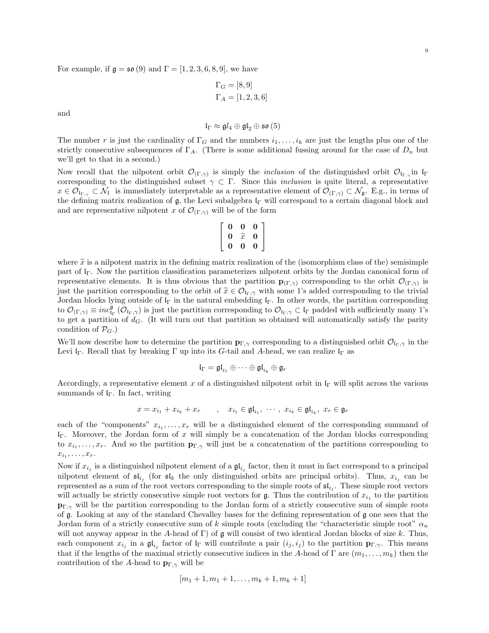For example, if  $\mathfrak{g} = \mathfrak{so}(9)$  and  $\Gamma = [1, 2, 3, 6, 8, 9]$ , we have

$$
\Gamma_G = [8, 9]
$$

$$
\Gamma_A = [1, 2, 3, 6]
$$

and

$$
\mathfrak{l}_\Gamma\approx\mathfrak{gl}_4\oplus\mathfrak{gl}_2\oplus\mathfrak{so}\left(5\right)
$$

The number r is just the cardinality of  $\Gamma_G$  and the numbers  $i_1, \ldots, i_k$  are just the lengths plus one of the strictly consecutive subsequences of  $\Gamma_A$ . (There is some additional fussing around for the case of  $D_n$  but we'll get to that in a second.)

Now recall that the nilpotent orbit  $\mathcal{O}_{(\Gamma,\gamma)}$  is simply the *inclusion* of the distinguished orbit  $\mathcal{O}_{\mathfrak{l}_{\Gamma,\gamma}}$  in  $\mathfrak{l}_{\Gamma}$ corresponding to the distinguished subset  $\gamma \subset \Gamma$ . Since this *inclusion* is quite literal, a representative  $x \in \mathcal{O}_{\mathfrak{l}_{\Gamma,\gamma}} \subset \mathcal{N}_{\mathfrak{l}}$  is immediately interpretable as a representative element of  $\mathcal{O}_{(\Gamma,\gamma)} \subset \mathcal{N}_{\mathfrak{g}}$ . E.g., in terms of the defining matrix realization of  $\mathfrak{g}$ , the Levi subalgebra  $\mathfrak{l}_\Gamma$  will correspond to a certain diagonal block and and are representative nilpotent x of  $\mathcal{O}_{(\Gamma,\gamma)}$  will be of the form

$$
\left[\begin{array}{ccc} 0 & 0 & 0 \\ 0 & \widetilde{x} & 0 \\ 0 & 0 & 0 \end{array}\right]
$$

where  $\tilde{x}$  is a nilpotent matrix in the defining matrix realization of the (isomorphism class of the) semisimple part of lΓ. Now the partition classification parameterizes nilpotent orbits by the Jordan canonical form of representative elements. It is thus obvious that the partition  $\mathbf{p}_{(\Gamma,\gamma)}$  corresponding to the orbit  $\mathcal{O}_{(\Gamma,\gamma)}$  is just the partition corresponding to the orbit of  $\tilde{x} \in \mathcal{O}_{\mathfrak{l}_{\Gamma}, \gamma}$  with some 1's added corresponding to the trivial Jordan blocks lying outside of  $I_{\Gamma}$  in the natural embedding  $I_{\Gamma}$ . In other words, the partition corresponding to  $\mathcal{O}_{(\Gamma,\gamma)} \equiv inc_{\mathfrak{l}_{\Gamma}}^{\mathfrak{g}}(\mathcal{O}_{\mathfrak{l}_{\Gamma},\gamma})$  is just the partition corresponding to  $\mathcal{O}_{\mathfrak{l}_{\Gamma},\gamma} \subset \mathfrak{l}_{\Gamma}$  padded with sufficiently many 1's to get a partition of  $d_G$ . (It will turn out that partition so obtained will automatically satisfy the parity condition of  $\mathcal{P}_G$ .)

We'll now describe how to determine the partition  $\mathbf{p}_{\Gamma,\gamma}$  corresponding to a distinguished orbit  $\mathcal{O}_{\mathfrak{l}_{\Gamma},\gamma}$  in the Levi  $\mathfrak{l}_{\Gamma}$ . Recall that by breaking  $\Gamma$  up into its G-tail and A-head, we can realize  $\mathfrak{l}_{\Gamma}$  as

$$
\mathfrak{l}_\Gamma=\mathfrak{gl}_{i_1}\oplus\cdots\oplus\mathfrak{gl}_{i_k}\oplus\mathfrak{g}_r
$$

Accordingly, a representative element x of a distinguished nilpotent orbit in  $\mathfrak{l}_\Gamma$  will split across the various summands of  $I_{\Gamma}$ . In fact, writing

$$
x=x_{i_1}+x_{i_k}+x_r\qquad,\quad x_{i_1}\in\mathfrak{gl}_{i_1},\;\cdot\cdot\cdot\;,\;x_{i_k}\in\mathfrak{gl}_{i_k},\;x_r\in\mathfrak{g}_r
$$

each of the "components"  $x_{i_1}, \ldots, x_r$  will be a distinguished element of the corresponding summand of lΓ. Moreover, the Jordan form of x will simply be a concatenation of the Jordan blocks corresponding to  $x_{i_1}, \ldots, x_r$ . And so the partition  $\mathbf{p}_{\Gamma,\gamma}$  will just be a concatenation of the partitions corresponding to  $x_{i_1},\ldots,x_r.$ 

Now if  $x_{i_j}$  is a distinguished nilpotent element of a  $\mathfrak{gl}_{i_j}$  factor, then it must in fact correspond to a principal nilpotent element of  $\mathfrak{sl}_{i_j}$  (for  $\mathfrak{sl}_k$  the only distinguished orbits are principal orbits). Thus,  $x_{i_j}$  can be represented as a sum of the root vectors corresponding to the simple roots of  $\mathfrak{sl}_{i_j}$ . These simple root vectors will actually be strictly consecutive simple root vectors for  $\mathfrak{g}$ . Thus the contribution of  $x_{i_1}$  to the partition  $\mathbf{p}_{\Gamma,\gamma}$  will be the partition corresponding to the Jordan form of a strictly consecutive sum of simple roots of g. Looking at any of the standard Chevalley bases for the defining representation of g one sees that the Jordan form of a strictly consecutive sum of k simple roots (excluding the "characteristic simple root"  $\alpha_n$ will not anyway appear in the A-head of Γ) of  $\mathfrak g$  will consist of two identical Jordan blocks of size k. Thus, each component  $x_{i_j}$  in a  $\mathfrak{gl}_{i_j}$  factor of  $\mathfrak{l}_{\Gamma}$  will contribute a pair  $(i_j, i_j)$  to the partition  $\mathbf{p}_{\Gamma, \gamma}$ . This means that if the lengths of the maximal strictly consecutive indices in the A-head of  $\Gamma$  are  $(m_1, \ldots, m_k)$  then the contribution of the A-head to  $\mathbf{p}_{\Gamma,\gamma}$  will be

$$
[m_1+1, m_1+1, \ldots, m_k+1, m_k+1]
$$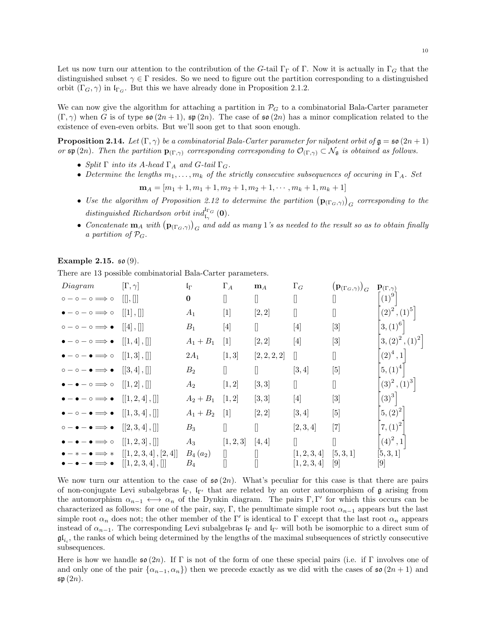We can now give the algorithm for attaching a partition in  $P_G$  to a combinatorial Bala-Carter parameter  $(\Gamma, \gamma)$  when G is of type  $\mathfrak{so}(2n+1)$ ,  $\mathfrak{sp}(2n)$ . The case of  $\mathfrak{so}(2n)$  has a minor complication related to the existence of even-even orbits. But we'll soon get to that soon enough.

**Proposition 2.14.** Let  $(\Gamma, \gamma)$  be a combinatorial Bala-Carter parameter for nilpotent orbit of  $\mathfrak{g} = \mathfrak{so}(2n+1)$ or  $\mathfrak{sp}(2n)$ . Then the partition  $\mathbf{p}_{(\Gamma,\gamma)}$  corresponding corresponding to  $\mathcal{O}_{(\Gamma,\gamma)} \subset \mathcal{N}_{\mathfrak{g}}$  is obtained as follows.

- Split  $\Gamma$  into its A-head  $\Gamma_A$  and G-tail  $\Gamma_G$ .
- Determine the lengths  $m_1, \ldots, m_k$  of the strictly consecutive subsequences of occuring in  $\Gamma_A$ . Set

 $\mathbf{m}_A = [m_1 + 1, m_1 + 1, m_2 + 1, m_2 + 1, \cdots, m_k + 1, m_k + 1]$ 

- Use the algorithm of Proposition 2.12 to determine the partition  $(p_{(\Gamma_G,\gamma)})_{\overline{G}}$  corresponding to the distinguished Richardson orbit ind $I_{\mathfrak{l}_{\gamma}}^{\mathfrak{l}_{\Gamma_{G}}}$  (0).
- Concatenate  $m_A$  with  $(p_{(\Gamma_G,\gamma)})_G$  and add as many 1's as needed to the result so as to obtain finally a partition of  $P<sub>G</sub>$ .

### **Example 2.15.**  $\mathfrak{so}(9)$ .

There are 13 possible combinatorial Bala-Carter parameters.

| Diagram                                                                   | $[\Gamma,\gamma]$        | $\mathfrak{l}_{\Gamma}$ | $\Gamma_A$                                                                                                                                                                                                                                                             | $\mathbf{m}_A$ | $\Gamma_G$                                                                                                                                                                                                                                                                                                                                                                                                                                                         | $\left({\rm p}_{(\Gamma_G,\gamma)}\right)_G$                                                                                                                                     | ${\bf p}_{(\Gamma,\gamma)}$                         |
|---------------------------------------------------------------------------|--------------------------|-------------------------|------------------------------------------------------------------------------------------------------------------------------------------------------------------------------------------------------------------------------------------------------------------------|----------------|--------------------------------------------------------------------------------------------------------------------------------------------------------------------------------------------------------------------------------------------------------------------------------------------------------------------------------------------------------------------------------------------------------------------------------------------------------------------|----------------------------------------------------------------------------------------------------------------------------------------------------------------------------------|-----------------------------------------------------|
| $0 - 0 - 0 \Longrightarrow 0$                                             | $\mathbb{H}, \mathbb{H}$ | $\boldsymbol{0}$        | U                                                                                                                                                                                                                                                                      |                |                                                                                                                                                                                                                                                                                                                                                                                                                                                                    |                                                                                                                                                                                  | $(1)^{91}$                                          |
| $-0 - 0 \Longrightarrow 0$                                                | [[1],]]                  | $A_1$                   | [1]                                                                                                                                                                                                                                                                    | [2,2]          |                                                                                                                                                                                                                                                                                                                                                                                                                                                                    |                                                                                                                                                                                  | $(2)^2$<br>$^{2}$ , $\left( 1\right) ^{5}\Big\vert$ |
| $0 - 0 - 0 \Longrightarrow 0$                                             | [[4],                    | $B_1$                   | $[4] % \includegraphics[width=0.9\columnwidth]{figures/fig_4} \caption{A graph shows a function of the parameter $\{1,2,3,4,\cdots\}$ for the parameter $3$. The number of points are $3$. The number of points are $3$. The number of points are $3$.} \label{fig:3}$ |                | $[4] % \includegraphics[width=1\textwidth]{images/TrDiM-Architecture.png} \caption{The figure shows the results of the estimators in the left hand side.} \label{TrDiM-Architecture}$                                                                                                                                                                                                                                                                              | $[3] % \includegraphics[width=0.9\columnwidth]{figures/fig_1a} \caption{Schematic diagram of the top of the top of the top of the top of the top of the right.} \label{fig:1} %$ | $3,(1)^6$                                           |
| $\bullet$ $ \circ$ $ \circ$ $\Longrightarrow$ $\bullet$                   | [[1,4],[]]               | $A_1 + B_1$             | $[1]$                                                                                                                                                                                                                                                                  | [2,2]          | $[4] % \includegraphics[width=1\textwidth]{images/TrDiM-Architecture.png} \caption{The figure shows the results of the estimators in the left hand side.} \label{TrDiM-Architecture}$                                                                                                                                                                                                                                                                              | $\left\lceil 3 \right\rceil$                                                                                                                                                     | $3, (2)^2, (1)^2$                                   |
| $\bullet$ $ \circ$ $ \bullet$ $\Longrightarrow$ $\circ$                   | [[1,3],                  | $2A_1$                  | [1, 3]                                                                                                                                                                                                                                                                 | [2, 2, 2, 2]   |                                                                                                                                                                                                                                                                                                                                                                                                                                                                    |                                                                                                                                                                                  | $\left( 2\right) ^{4},1$ $\mid$                     |
| $\circ$ $\circ$ $\bullet$ $\Longrightarrow$ $\bullet$                     | [[3,4],                  | $B_2$                   | n                                                                                                                                                                                                                                                                      |                | [3, 4]                                                                                                                                                                                                                                                                                                                                                                                                                                                             | [5]                                                                                                                                                                              | $5,(1)^4$                                           |
| $\bullet - \bullet - \circ \Longrightarrow \circ$                         | [[1,2],]]                | $A_2$                   | [1,2]                                                                                                                                                                                                                                                                  | [3, 3]         | 0                                                                                                                                                                                                                                                                                                                                                                                                                                                                  | $\Box$                                                                                                                                                                           | $\left(3\right)^{2},\left(1\right)^{3}\Big $        |
| $\bullet$ $ \circ$ $\Longrightarrow$ $\bullet$                            | [[1, 2, 4],              | $A_2 + B_1$             | [1, 2]                                                                                                                                                                                                                                                                 | [3, 3]         | $[4] % \includegraphics[width=0.9\columnwidth]{figures/fig_4} \caption{A graph shows a function of the parameter $\{1,2,3,4,\cdots\}$ for the parameter $3$. The number of points are $3$, $3$, $4$, $4$, $5$, $6$, $6$, $7$, $8$, $8$, $8$, $9$, $1$, $1$, $2$, $1$, $2$, $3$, $4$, $4$, $5$, $6$, $7$, $8$, $9$, $1$, $1$, $2$, $4$, $3$, $4$, $5$, $6$, $6$, $7$, $8$, $9$, $1$, $1$, $2$, $2$, $3$, $4$, $4$, $5$, $6$, $6$, $7$, $8$, $9$, $1$, $1$, $2$, $2$ | $\left\lceil 3 \right\rceil$                                                                                                                                                     | $(3)^{3}$                                           |
| $\overline{\phantom{0}}\circ\overline{\phantom{0}}\bullet\implies\bullet$ | [[1,3,4],]]              | $A_1 + B_2$             | $\lceil 1 \rceil$                                                                                                                                                                                                                                                      | [2, 2]         | [3, 4]                                                                                                                                                                                                                                                                                                                                                                                                                                                             | $\lceil 5 \rceil$                                                                                                                                                                | $5,(2)^2$                                           |
| $-\bullet \Longrightarrow \bullet$                                        | [[2,3,4],]]              | $B_3$                   | П                                                                                                                                                                                                                                                                      |                | [2, 3, 4]                                                                                                                                                                                                                                                                                                                                                                                                                                                          | $\left\lceil 7 \right\rceil$                                                                                                                                                     | $7,(1)^2$                                           |
| $- \bullet \Longrightarrow \circ$                                         | [[1, 2, 3],              | $A_3$                   | [1, 2, 3]                                                                                                                                                                                                                                                              | [4,4]          |                                                                                                                                                                                                                                                                                                                                                                                                                                                                    |                                                                                                                                                                                  | $(4)^2$ , 1                                         |
| $\implies$                                                                | [[1, 2, 3, 4], [2, 4]]   | $B_4(a_2)$              | I                                                                                                                                                                                                                                                                      |                | [1, 2, 3, 4]                                                                                                                                                                                                                                                                                                                                                                                                                                                       | [5, 3, 1]                                                                                                                                                                        | [5, 3, 1]                                           |
|                                                                           | [[1, 2, 3, 4], ]         | $B_4$                   |                                                                                                                                                                                                                                                                        |                | [1, 2, 3, 4]                                                                                                                                                                                                                                                                                                                                                                                                                                                       | $\lceil 9 \rceil$                                                                                                                                                                | [9]                                                 |

We now turn our attention to the case of  $\mathfrak{so}(2n)$ . What's peculiar for this case is that there are pairs of non-conjugate Levi subalgebras  $I_{\Gamma}$ ,  $I_{\Gamma'}$  that are related by an outer automorphism of  $\mathfrak g$  arising from the automorphism  $\alpha_{n-1} \leftrightarrow \alpha_n$  of the Dynkin diagram. The pairs  $\Gamma, \Gamma'$  for which this occurs can be characterized as follows: for one of the pair, say, Γ, the penultimate simple root  $\alpha_{n-1}$  appears but the last simple root  $\alpha_n$  does not; the other member of the Γ' is identical to Γ except that the last root  $\alpha_n$  appears instead of  $\alpha_{n-1}$ . The corresponding Levi subalgebras  $\mathfrak{l}_\Gamma$  and  $\mathfrak{l}_{\Gamma'}$  will both be isomorphic to a direct sum of  $\mathfrak{gl}_{i_i}$ , the ranks of which being determined by the lengths of the maximal subsequences of strictly consecutive subsequences.

Here is how we handle  $\mathfrak{so}(2n)$ . If  $\Gamma$  is not of the form of one these special pairs (i.e. if  $\Gamma$  involves one of and only one of the pair  $\{\alpha_{n-1}, \alpha_n\}$  then we precede exactly as we did with the cases of  $\mathfrak{so}(2n+1)$  and  $\mathfrak{sp}(2n)$ .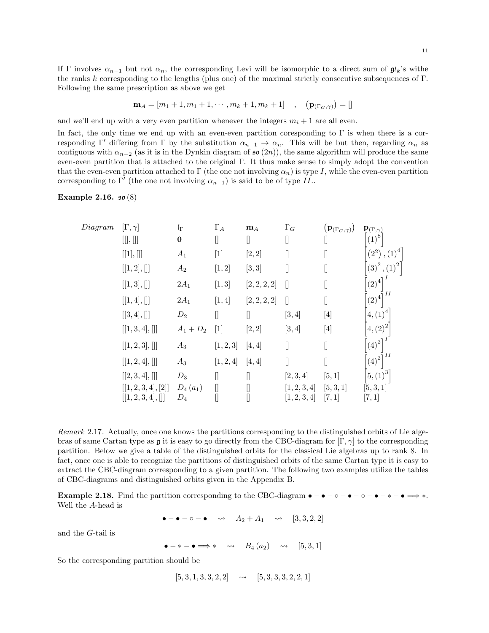If Γ involves  $\alpha_{n-1}$  but not  $\alpha_n$ , the corresponding Levi will be isomorphic to a direct sum of  $\mathfrak{gl}_k$ 's withe the ranks k corresponding to the lengths (plus one) of the maximal strictly consecutive subsequences of Γ. Following the same prescription as above we get

$$
\mathbf{m}_A = [m_1 + 1, m_1 + 1, \cdots, m_k + 1, m_k + 1], \quad (\mathbf{p}_{(\Gamma_G, \gamma)}) = []
$$

and we'll end up with a very even partition whenever the integers  $m_i + 1$  are all even.

In fact, the only time we end up with an even-even partition coresponding to  $\Gamma$  is when there is a corresponding Γ' differing from Γ by the substitution  $\alpha_{n-1} \to \alpha_n$ . This will be but then, regarding  $\alpha_n$  as contiguous with  $\alpha_{n-2}$  (as it is in the Dynkin diagram of  $\mathfrak{so}(2n)$ ), the same algorithm will produce the same even-even partition that is attached to the original Γ. It thus make sense to simply adopt the convention that the even-even partition attached to Γ (the one not involving  $\alpha_n$ ) is type I, while the even-even partition corresponding to  $\Gamma'$  (the one not involving  $\alpha_{n-1}$ ) is said to be of type II..

## Example 2.16. so (8)

| Diagram | $[\Gamma,\gamma]$   | $\mathfrak{l}_\Gamma$ | $\Gamma_A$                                                                                                                                                                                                                                                                                             | $m_A$        | $\Gamma_G$   | $(\mathbf{p}_{(\Gamma_G, \gamma)})$ | ${\bf p}_{(\Gamma,\gamma)}$                    |
|---------|---------------------|-----------------------|--------------------------------------------------------------------------------------------------------------------------------------------------------------------------------------------------------------------------------------------------------------------------------------------------------|--------------|--------------|-------------------------------------|------------------------------------------------|
|         | [[] , []]           | $\boldsymbol{0}$      |                                                                                                                                                                                                                                                                                                        | 0            |              |                                     | $(1)^8$                                        |
|         | [[1], []]           | $A_1$                 | $[1] % \centering \includegraphics[width=0.9\columnwidth]{figures/fig_10.pdf} \caption{The graph $\mathcal{N}_1$ is a function of the number of~\textit{N}_1$ (left) and the number of~\textit{N}_2$ (right) and the number of~\textit{N}_1$ (right) are shown in Fig.~\ref{fig:10}. } \label{fig:10}$ | [2, 2]       |              |                                     | $\left(2^{2}\right),\left(1\right)^{4}\right $ |
|         | [[1, 2], []]        | $A_2$                 | [1, 2]                                                                                                                                                                                                                                                                                                 | [3,3]        |              | 0                                   | $(3)^2$<br>$\degree$ , $(1)^2$ ]               |
|         | [[1,3],]]           | $2A_1$                | [1, 3]                                                                                                                                                                                                                                                                                                 | [2, 2, 2, 2] | $\mathbb{I}$ |                                     | $(2)^4$                                        |
|         | [[1,4],[]]          | $2A_1$                | [1, 4]                                                                                                                                                                                                                                                                                                 | [2, 2, 2, 2] | $\mathbb{I}$ | П                                   | $(2)^4$                                        |
|         | [[3,4],[]]          | $D_2$                 |                                                                                                                                                                                                                                                                                                        |              | [3,4]        | $[4]$                               | $(4,(1)^4)$                                    |
|         | [[1,3,4],[]]        | $A_1 + D_2$           | $[1]$                                                                                                                                                                                                                                                                                                  | [2, 2]       | [3,4]        | $[4]$                               | $(4, (2)^2)$                                   |
|         | [[1, 2, 3], []]     | $A_3$                 | [1, 2, 3]                                                                                                                                                                                                                                                                                              | [4,4]        |              |                                     | $(4)^{2^{1}}$                                  |
|         | [[1, 2, 4], []]     | $A_3$                 | [1, 2, 4]                                                                                                                                                                                                                                                                                              | [4, 4]       |              |                                     | H<br>$(4)^{2}$                                 |
|         | [[2,3,4],[]]        | $D_3$                 |                                                                                                                                                                                                                                                                                                        |              | [2, 3, 4]    | [5,1]                               | $[5,(1)^3]$                                    |
|         | [[1, 2, 3, 4], [2]] | $D_4(a_1)$            | I                                                                                                                                                                                                                                                                                                      |              | [1, 2, 3, 4] | [5, 3, 1]                           | [5, 3, 1]                                      |
|         | [[1, 2, 3, 4], []]  | $D_4$                 |                                                                                                                                                                                                                                                                                                        |              | [1, 2, 3, 4] | [7, 1]                              | [7,1]                                          |

Remark 2.17. Actually, once one knows the partitions corresponding to the distinguished orbits of Lie algebras of same Cartan type as q it is easy to go directly from the CBC-diagram for  $[\Gamma, \gamma]$  to the corresponding partition. Below we give a table of the distinguished orbits for the classical Lie algebras up to rank 8. In fact, once one is able to recognize the partitions of distinguished orbits of the same Cartan type it is easy to extract the CBC-diagram corresponding to a given partition. The following two examples utilize the tables of CBC-diagrams and distinguished orbits given in the Appendix B.

Example 2.18. Find the partition corresponding to the CBC-diagram  $\bullet - \bullet - \bullet - \bullet - \bullet - \bullet - \bullet - \bullet \Rightarrow *$ . Well the A-head is

 $\bullet - \bullet - \circ - \bullet \quad \rightsquigarrow \quad A_2 + A_1 \quad \rightsquigarrow \quad [3, 3, 2, 2]$ 

and the G-tail is

 $\bullet - * - \bullet \Longrightarrow * \quad \leadsto \quad B_4 \left( a_2 \right) \quad \leadsto \quad [5, 3, 1]$ 

So the corresponding partition should be

 $[5, 3, 1, 3, 3, 2, 2] \rightarrow [5, 3, 3, 3, 2, 2, 1]$